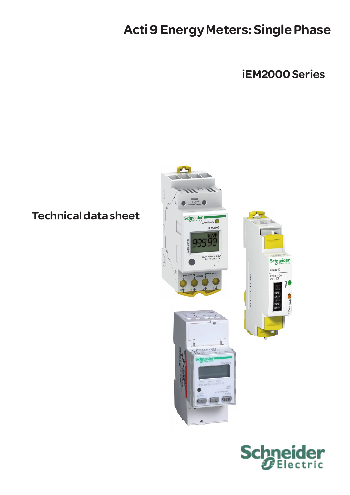# Acti 9 Energy Meters: Single Phase

iEM2000 Series

## Technical data sheet



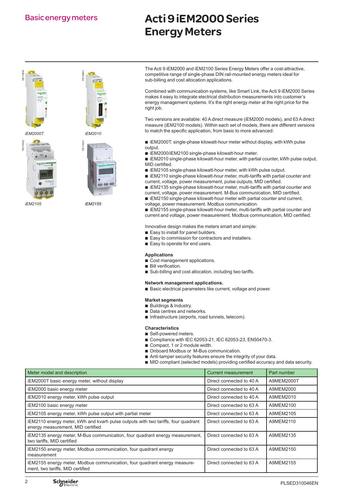## Acti 9 iEM2000 Series Energy Meters

PB110836







The Acti 9 iEM2000 and iEM2100 Series Energy Meters offer a cost-attractive, competitive range of single-phase DIN rail-mounted energy meters ideal for sub-billing and cost allocation applications.

Combined with communication systems, like Smart Link, the Acti 9 iEM2000 Series makes it easy to integrate electrical distribution measurements into customer's energy management systems. It's the right energy meter at the right price for the right job.

Two versions are available: 40 A direct measure (iEM2000 models), and 63 A direct measure (iEM2100 models). Within each set of models, there are different versions to match the specific application, from basic to more advanced:

 $\blacksquare$  iEM2000T: single-phase kilowatt-hour meter without display, with kWh pulse output.

■ iEM2000/iEM2100 single-phase kilowatt-hour meter.

 $\blacksquare$  iEM2010 single-phase kilowatt-hour meter, with partial counter, kWh pulse output, MID certified.

 $\blacksquare$  iEM2105 single-phase kilowatt-hour meter, with kWh pulse output.

■ iEM2110 single-phase kilowatt-hour meter, multi-tariffs with partial counter and current, voltage, power measurement, pulse outputs, MID certified.

 $\blacksquare$  iEM2135 single-phase kilowatt-hour meter, multi-tariffs with partial counter and current, voltage, power measurement. M-Bus communication, MID certified.

 $\blacksquare$  iEM2150 single-phase kilowatt-hour meter with partial counter and current,

voltage, power measurement. Modbus communication.

 $\blacksquare$  iEM2155 single-phase kilowatt-hour meter, multi-tariffs with partial counter and current and voltage, power measurement. Modbus communication, MID certified.

Innovative design makes the meters smart and simple:

- $\blacksquare$  Easy to install for panel builders.
- Easy to commission for contractors and installers.
- $\blacksquare$  Easy to operate for end users.

#### **Applications**

- $\overline{\phantom{a}}$  Cost management applications.
- $\blacksquare$  Bill verification.
- $\blacksquare$  Sub-billing and cost allocation, including two tariffs.

#### **Network management applications.**

Basic electrical parameters like current, voltage and power.

#### **Market segments**

- $\blacksquare$  Buildings & Industry.
- $\blacksquare$  Data centres and networks.
- $\blacksquare$  Infrastructure (airports, road tunnels, telecom).

#### **Characteristics**

- **B** Self-powered meters.
- Compliance with IEC 62053-21, IEC 62053-23, EN50470-3.
- $\blacksquare$  Compact, 1 or 2 module width.
- Onboard Modbus or M-Bus communication.
- $\blacksquare$  Anti-tamper security features ensure the integrity of your data.
- $\blacksquare$  MID compliant (selected models) providing certified accuracy and data security.

| Meter model and description                                                                                            | Current measurement      | Part number |
|------------------------------------------------------------------------------------------------------------------------|--------------------------|-------------|
| iEM2000T basic energy meter, without display                                                                           | Direct connected to 40 A | A9MEM2000T  |
| iEM2000 basic energy meter                                                                                             | Direct connected to 40 A | A9MEM2000   |
| iEM2010 energy meter, kWh pulse output                                                                                 | Direct connected to 40 A | A9MEM2010   |
| iEM2100 basic energy meter                                                                                             | Direct connected to 63 A | A9MEM2100   |
| iEM2105 energy meter, kWh pulse output with partial meter                                                              | Direct connected to 63 A | A9MEM2105   |
| iEM2110 energy meter, kWh and kvarh pulse outputs with two tariffs, four quadrant<br>energy measurement, MID certified | Direct connected to 63 A | A9MEM2110   |
| iEM2135 energy meter, M-Bus communication, four quadrant energy measurement,<br>two tariffs, MID certified             | Direct connected to 63 A | A9MEM2135   |
| iEM2150 energy meter, Modbus communication, four quadrant energy<br>measurement                                        | Direct connected to 63 A | A9MEM2150   |
| iEM2155 energy meter, Modbus communication, four quadrant energy measure-<br>ment, two tariffs, MID certified          | Direct connected to 63 A | A9MEM2155   |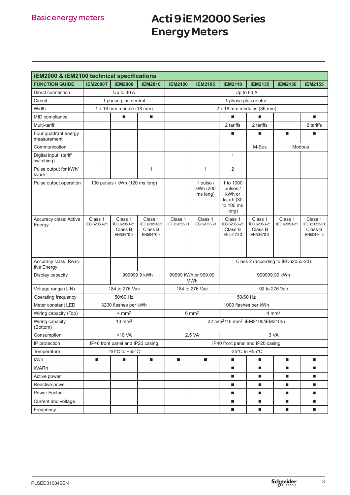## Acti 9 iEM2000 Series Energy Meters

| <b>iEM2000 &amp; iEM2100 technical specifications</b> |                                      |                                                 |                                                 |                           |                                                         |                                                                    |                                                 |                             |                                                 |  |  |
|-------------------------------------------------------|--------------------------------------|-------------------------------------------------|-------------------------------------------------|---------------------------|---------------------------------------------------------|--------------------------------------------------------------------|-------------------------------------------------|-----------------------------|-------------------------------------------------|--|--|
| <b>FUNCTION GUIDE</b>                                 | <b>iEM2000T</b>                      | <b>iEM2000</b>                                  | <b>iEM2010</b>                                  | <b>iEM2100</b>            | <b>iEM2105</b>                                          | <b>iEM2110</b>                                                     | <b>iEM2135</b>                                  | <b>iEM2150</b>              | <b>iEM2155</b>                                  |  |  |
| Direct connection                                     |                                      | Up to 40 A                                      |                                                 |                           |                                                         |                                                                    | Up to 63 A                                      |                             |                                                 |  |  |
| Circuit                                               | 1 phase plus neutral                 |                                                 |                                                 | 1 phase plus neutral      |                                                         |                                                                    |                                                 |                             |                                                 |  |  |
| Width                                                 | 1 x 18 mm module (18 mm)             |                                                 |                                                 | 2 x 18 mm modules (36 mm) |                                                         |                                                                    |                                                 |                             |                                                 |  |  |
| MID compliance                                        |                                      | $\blacksquare$                                  | $\blacksquare$                                  |                           |                                                         | п                                                                  |                                                 |                             | п                                               |  |  |
| Multi-tariff                                          |                                      |                                                 |                                                 |                           |                                                         | 2 tariffs                                                          | 2 tariffs                                       |                             | 2 tariffs                                       |  |  |
| Four quadrant energy<br>measurement                   |                                      |                                                 |                                                 |                           |                                                         | п                                                                  | п                                               | $\blacksquare$              | п                                               |  |  |
| Communication                                         |                                      |                                                 |                                                 |                           |                                                         | M-Bus<br>Modbus                                                    |                                                 |                             |                                                 |  |  |
| Digital input (tariff<br>switching)                   |                                      |                                                 |                                                 |                           |                                                         | $\mathbf{1}$                                                       |                                                 |                             |                                                 |  |  |
| Pulse output for kWh/<br>kvarh                        | $\mathbf{1}$                         |                                                 | $\mathbf{1}$                                    |                           | $\mathbf{1}$                                            | 2                                                                  |                                                 |                             |                                                 |  |  |
| Pulse output operation                                | 100 pulses / kWh (120 ms long)       |                                                 |                                                 |                           | 1 pulse /<br>kWh (200<br>ms long)                       | 1 to 1000<br>pulses /<br>kWh or<br>kvarh (30<br>to 100 ms<br>long) |                                                 |                             |                                                 |  |  |
| Accuracy class: Active<br>Energy                      | Class 1<br>IEC 62053-21              | Class 1<br>IEC 62053-21<br>Class B<br>EN50470-3 | Class 1<br>IEC 62053-21<br>Class B<br>EN50470-3 | Class 1<br>IEC 62053-21   | Class 1<br>IEC 62053-21                                 | Class 1<br>IEC 62053-21<br>Class B<br>EN50470-3                    | Class 1<br>IEC 62053-21<br>Class B<br>EN50470-3 | Class 1<br>IEC 62053-21     | Class 1<br>IEC 62053-21<br>Class B<br>EN50470-3 |  |  |
| Accuracy class: Reac-<br>tive Energy                  |                                      |                                                 |                                                 |                           |                                                         | Class 2 (according to IEC62053-23)                                 |                                                 |                             |                                                 |  |  |
| Display capacity                                      | 999999.9 kWh                         |                                                 |                                                 |                           | 99999 kWh or 999.99<br>999999.99 kWh<br><b>MWh</b>      |                                                                    |                                                 |                             |                                                 |  |  |
| Voltage range (L-N)                                   | 184 to 276 Vac                       |                                                 |                                                 |                           | 92 to 276 Vac<br>184 to 276 Vac                         |                                                                    |                                                 |                             |                                                 |  |  |
| Operating frequency                                   | 50/60 Hz                             |                                                 |                                                 |                           | 50/60 Hz                                                |                                                                    |                                                 |                             |                                                 |  |  |
| Meter constant LED                                    | 3200 flashes per kWh                 |                                                 |                                                 |                           |                                                         | 1000 flashes per kWh                                               |                                                 |                             |                                                 |  |  |
| Wiring capacity (Top)                                 | $4 \text{ mm}^2$                     |                                                 |                                                 |                           | $6 \text{ mm}^2$<br>$4 \text{ mm}^2$                    |                                                                    |                                                 |                             |                                                 |  |  |
| Wiring capacity<br>(Bottom)                           | $10 \text{ mm}^2$                    |                                                 |                                                 |                           | 32 mm <sup>2</sup> (16 mm <sup>2</sup> iEM2100/iEM2105) |                                                                    |                                                 |                             |                                                 |  |  |
| Consumption                                           | $<$ 10 VA                            |                                                 |                                                 | 2.5 VA<br>3 VA            |                                                         |                                                                    |                                                 |                             |                                                 |  |  |
| IP protection                                         | IP40 front panel and IP20 casing     |                                                 |                                                 |                           | IP40 front panel and IP20 casing                        |                                                                    |                                                 |                             |                                                 |  |  |
| Temperature                                           | -10 $^{\circ}$ C to +55 $^{\circ}$ C |                                                 |                                                 |                           | -25 $^{\circ}$ C to +55 $^{\circ}$ C                    |                                                                    |                                                 |                             |                                                 |  |  |
| kWh                                                   | п                                    | $\blacksquare$                                  | п                                               | ш                         | $\blacksquare$                                          | $\blacksquare$                                                     | ш                                               | $\mathcal{L}_{\mathcal{A}}$ | $\blacksquare$                                  |  |  |
| kVARh                                                 |                                      |                                                 |                                                 |                           |                                                         | п                                                                  | ٠                                               | $\mathcal{L}_{\mathcal{A}}$ | $\blacksquare$                                  |  |  |
| Active power                                          |                                      |                                                 |                                                 |                           |                                                         | ш                                                                  | <b>C</b>                                        | $\mathcal{L}_{\mathcal{A}}$ | $\blacksquare$                                  |  |  |
| Reactive power                                        |                                      |                                                 |                                                 |                           |                                                         | п                                                                  | ш                                               | $\blacksquare$              | $\blacksquare$                                  |  |  |
| Power Factor                                          |                                      |                                                 |                                                 |                           |                                                         | ш                                                                  | ш                                               | $\blacksquare$              | $\blacksquare$                                  |  |  |
| Current and voltage                                   |                                      |                                                 |                                                 |                           |                                                         | $\blacksquare$                                                     | п                                               | $\blacksquare$              | п                                               |  |  |
| Frequency                                             |                                      |                                                 |                                                 |                           |                                                         | $\blacksquare$                                                     | $\blacksquare$                                  | $\blacksquare$              | ш                                               |  |  |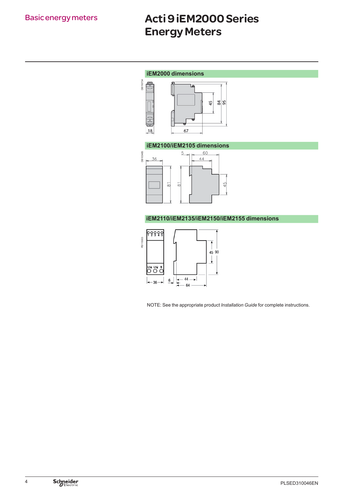## Acti 9 iEM2000 Series Energy Meters

### **iEM2000 dimensions**



### **iEM2100/iEM2105 dimensions**



### **iEM2110/iEM2135/iEM2150/iEM2155 dimensions**



NOTE: See the appropriate product *Installation Guide* for complete instructions.